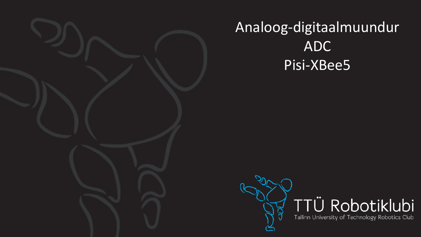

## Analoog-digitaalmuundur ADC Pisi-XBee5

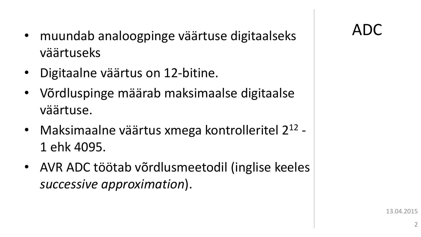- muundab analoogpinge väärtuse digitaalseks | ADC väärtuseks
- Digitaalne väärtus on 12-bitine.
- Võrdluspinge määrab maksimaalse digitaalse väärtuse.
- Maksimaalne väärtus xmega kontrolleritel 2<sup>12</sup> -1 ehk 4095.
- AVR ADC töötab võrdlusmeetodil (inglise keeles *successive approximation*).

13.04.2015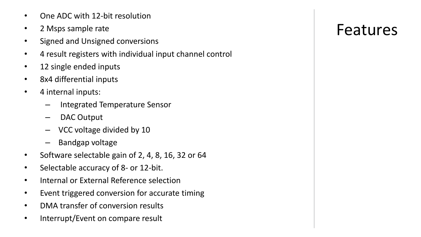- One ADC with 12-bit resolution
- 2 Msps sample rate
- Signed and Unsigned conversions
- 4 result registers with individual input channel control
- 12 single ended inputs
- 8x4 differential inputs
- 4 internal inputs:
	- Integrated Temperature Sensor
	- DAC Output
	- VCC voltage divided by 10
	- Bandgap voltage
- Software selectable gain of 2, 4, 8, 16, 32 or 64
- Selectable accuracy of 8- or 12-bit.
- Internal or External Reference selection
- Event triggered conversion for accurate timing
- DMA transfer of conversion results
- Interrupt/Event on compare result

### Features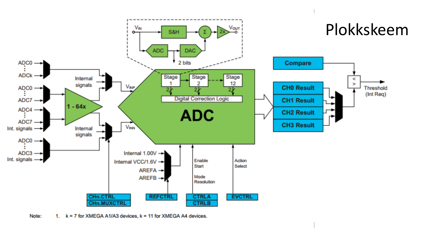

Note: 1. k = 7 for XMEGA A1/A3 devices, k = 11 for XMEGA A4 devices.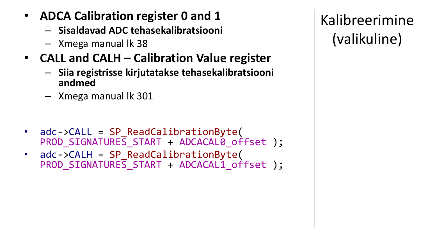- **ADCA Calibration register 0 and 1**
	- **Sisaldavad ADC tehasekalibratsiooni**
	- Xmega manual lk 38
- **CALL and CALH – Calibration Value register**
	- **Siia registrisse kirjutatakse tehasekalibratsiooni andmed**
	- Xmega manual lk 301
- adc->CALL = SP\_ReadCalibrationByte( PROD SIGNATURES START + ADCACAL0 offset );
- adc->CALH = SP\_ReadCalibrationByte( PROD\_SIGNATURES\_START + ADCACAL1\_offset );

Kalibreerimine (valikuline)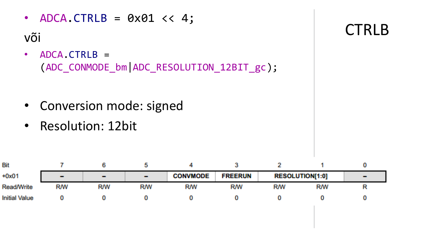- ADCA.CTRLB =  $0 \times 01 \lt 4$ ; või • ADCA.CTRLB = (ADC\_CONMODE\_bm|ADC\_RESOLUTION\_12BIT\_gc);
	- Conversion mode: signed
	- Resolution: 12bit

| Bit                  |                   |                   |                 |                 |                |            |                        |                 |
|----------------------|-------------------|-------------------|-----------------|-----------------|----------------|------------|------------------------|-----------------|
| $+0x01$              | <b>CONTRACTOR</b> | <b>CONTRACTOR</b> | <b>Contract</b> | <b>CONVMODE</b> | <b>FREERUN</b> |            | <b>RESOLUTION[1:0]</b> | <b>CONTRACT</b> |
| <b>Read/Write</b>    | <b>R/W</b>        | <b>R/W</b>        | RM              | <b>RM</b>       | <b>RM</b>      | <b>R/W</b> | RM                     |                 |
| <b>Initial Value</b> |                   |                   |                 |                 |                |            |                        |                 |

**CTRLB**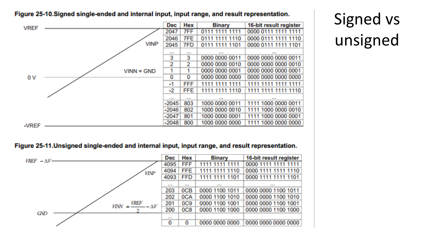#### Figure 25-10. Signed single-ended and internal input, input range, and result representation.

| <b>VREF</b> |              | <b>Dec</b>        | Hex        | <b>Binary</b>     | 16-bit result register |
|-------------|--------------|-------------------|------------|-------------------|------------------------|
|             |              | 2047              | 76 F       | 0111 1111 1111    | 0000 0111 1111 1111    |
|             |              | 2046              | <b>7FE</b> | 0111 1111 1110    | 0000 0111 1111 1110    |
|             | <b>VINP</b>  | 2045              | 7FD        | 1111 1101<br>0111 | 0000 0111 1111 1101    |
|             |              | <b>CONTRACTOR</b> | a a a      | <b>CONTRACTOR</b> | <b>British</b>         |
|             |              | 3                 | 3          | 0000 0000 0011    | 0000 0000 0000 0011    |
|             |              | 2                 | 2.         | 0000 0000 0010    | 0000 0000 0000 0010    |
|             | $VINN = GND$ |                   | 1          | 0000 0000 0001    | 0000 0000 0000 0001    |
| 0V          |              | 0                 | 0          | 0000 0000 0000    | 0000 0000 0000 0000    |
|             |              | -1                | <b>FFF</b> | 1111 1111         |                        |
|             |              | -2                | FFE.       | 1111 1110<br>1111 | 1111 1111 1111 1110    |
|             |              | <b>CONTRACTOR</b> | 医前面        | <b>CONTRACTOR</b> | <b>COLORED BANK</b>    |
|             |              | $-2045$           | 803        | 1000 0000 0011    | 1111 1000 0000 0011    |
|             |              | $-2046$           | 802        | 1000 0000 0010    | 1111 1000 0000 0010    |
|             |              | $-2047$           | 801        | 1000 0000 0001    | 1111 1000 0000 0001    |
| -VREF       |              | $-2048$           | 800        | 1000 0000 0000    | 1111 1000 0000 0000    |

#### Figure 25-11. Unsigned single-ended and internal input, input range, and result representation.



Signed vs unsigned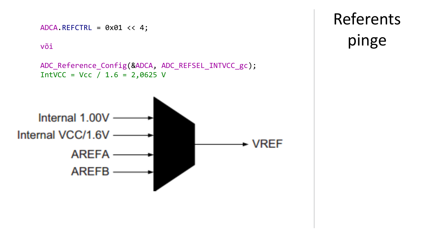

**Referents** pinge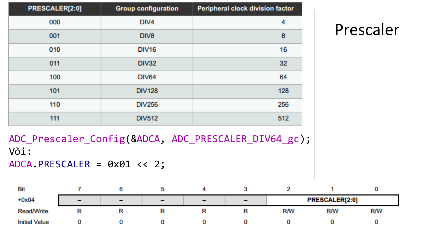| PRESCALER[2:0] | <b>Group configuration</b> | Peripheral clock division factor |
|----------------|----------------------------|----------------------------------|
| 000            | DIV4                       | 4                                |
| 001            | DIV8                       | 8                                |
| 010            | <b>DIV16</b>               | 16                               |
| 011            | <b>DIV32</b>               | 32 <sub>1</sub>                  |
| 100            | <b>DIV64</b>               | 64                               |
| 101            | <b>DIV128</b>              | 128                              |
| 110            | <b>DIV256</b>              | 256                              |
| 111            | <b>DIV512</b>              | 512                              |

## Prescaler

ADC\_Prescaler\_Config(&ADCA, ADC\_PRESCALER\_DIV64\_gc); Või:  $ADCA.PRESCALER = 0x01 << 2;$ 

| <b>Bit</b>           |                          |                |                  |                |        |                |            |            |
|----------------------|--------------------------|----------------|------------------|----------------|--------|----------------|------------|------------|
| $+0x04$              | $\overline{\phantom{a}}$ | $\blacksquare$ | <b>The State</b> | $\blacksquare$ | $\sim$ | PRESCALER[2:0] |            |            |
| <b>Read/Write</b>    |                          |                |                  |                |        | <b>RM</b>      | <b>R/W</b> | <b>R/W</b> |
| <b>Initial Value</b> |                          |                |                  |                |        |                |            |            |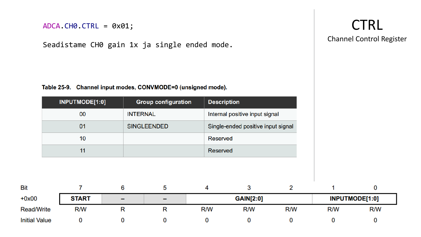```
ADCA.CH0.CTRL = 0x01;
```
Seadistame CH0 gain 1x ja single ended mode .

Table 25-9. Channel input modes, CONVMODE=0 (unsigned mode).

|                      | INPUTMODE[1:0] |   | <b>Group configuration</b> | <b>Description</b> |                                    |     |     |                |
|----------------------|----------------|---|----------------------------|--------------------|------------------------------------|-----|-----|----------------|
|                      | 00             |   | <b>INTERNAL</b>            |                    | Internal positive input signal     |     |     |                |
|                      | 01             |   | <b>SINGLEENDED</b>         |                    | Single-ended positive input signal |     |     |                |
|                      | 10             |   |                            | Reserved           |                                    |     |     |                |
|                      | 11             |   |                            | Reserved           |                                    |     |     |                |
|                      |                |   |                            |                    |                                    |     |     |                |
| Bit                  |                | 6 | 5                          | 4                  | 3                                  | 2   |     | 0              |
| $+0x00$              | <b>START</b>   |   |                            |                    | <b>GAIN[2:0]</b>                   |     |     | INPUTMODE[1:0] |
| <b>Read/Write</b>    | R/W            | R | R                          | R/W                | R/W                                | R/W | R/W | R/W            |
| <b>Initial Value</b> | 0              | 0 | 0                          | 0                  | 0                                  | 0   | 0   | 0              |

### **CTRL** Channel Control Register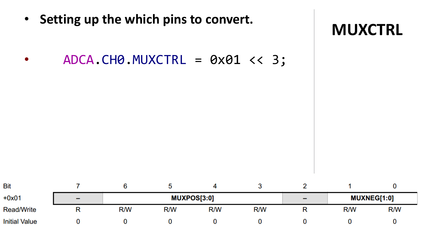• Setting up the which pins to convert.

 $ADCA. CH0.MUXCTRL = 0x01 << 3;$  $\bullet$ 



| <b>Bit</b>           |                          |     |     |             |     |                          |     |                    |
|----------------------|--------------------------|-----|-----|-------------|-----|--------------------------|-----|--------------------|
| $+0x01$              | $\overline{\phantom{0}}$ |     |     | MUXPOS[3:0] |     | $\overline{\phantom{0}}$ |     | <b>MUXNEG[1:0]</b> |
| <b>Read/Write</b>    |                          | R/W | R/W | R/W         | R/W |                          | R/W | R/W                |
| <b>Initial Value</b> |                          |     |     |             |     |                          |     |                    |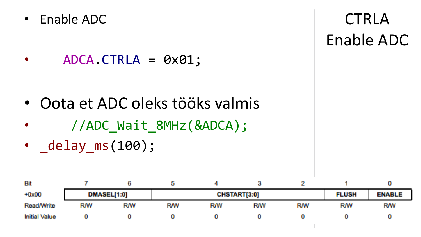• Enable ADC

• ADCA.CTRLA = 0x01;

- Oota et ADC oleks tööks valmis
- //ADC\_Wait\_8MHz(&ADCA);
- delay\_ms(100);

| Bit                  |            |             |           |                     |            |            |            |               |
|----------------------|------------|-------------|-----------|---------------------|------------|------------|------------|---------------|
| $+0x00$              |            | DMASEL[1:0] |           | <b>CHSTART[3:0]</b> |            |            |            | <b>ENABLE</b> |
| Read/Write           | <b>R/W</b> | <b>R/W</b>  | <b>RM</b> | <b>R/W</b>          | <b>R/W</b> | <b>R/W</b> | <b>R/W</b> | RW            |
| <b>Initial Value</b> |            |             |           |                     |            |            |            |               |

**CTRLA** Enable ADC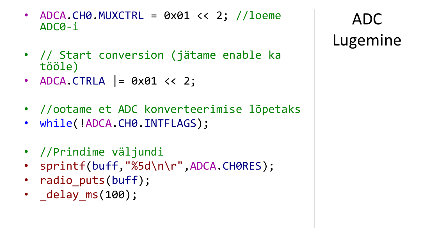- ADCA.CH0.MUXCTRL =  $0 \times 01 \lt 2$ ; //loeme ADC0-i
- // Start conversion (jätame enable ka tööle)
- ADCA.CTRLA  $= 0 \times 01 \lt 2;$
- //ootame et ADC konverteerimise lõpetaks
- while(!ADCA.CH0.INTFLAGS);
- //Prindime väljundi
- sprintf(buff,"%5d\n\r",ADCA.CH0RES);
- radio puts(buff);
- delay ms(100);

ADC Lugemine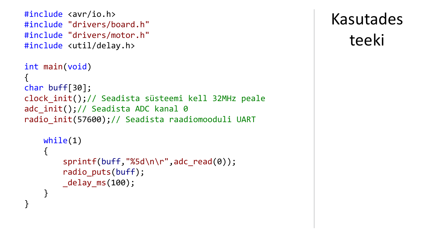```
#include <avr/io.h>
#include "drivers/board.h"
#include "drivers/motor.h"
#include <util/delay.h>
int main(void)
{
char buff[30];
clock_init();// Seadista süsteemi kell 32MHz peale
adc init();// Seadista ADC kanal 0
radio_init(57600);// Seadista raadiomooduli UART
    while(1)
    {
        sprintf(buff,"%5d\n\r",adc read(0));
```

```
radio puts(buff);
_delay_ms(100);
```
}

}

# Kasutades teeki